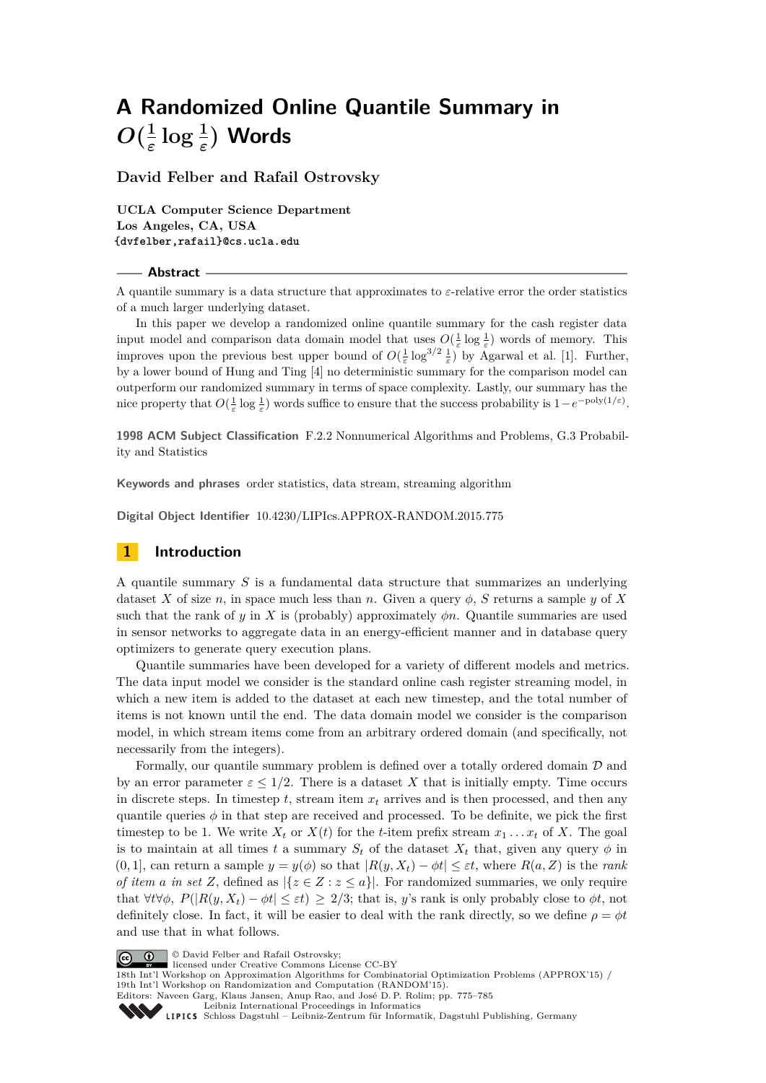**David Felber and Rafail Ostrovsky**

**UCLA Computer Science Department Los Angeles, CA, USA {dvfelber,rafail}@cs.ucla.edu**

#### **Abstract**

A quantile summary is a data structure that approximates to *ε*-relative error the order statistics of a much larger underlying dataset.

In this paper we develop a randomized online quantile summary for the cash register data input model and comparison data domain model that uses  $O(\frac{1}{\varepsilon} \log \frac{1}{\varepsilon})$  words of memory. This improves upon the previous best upper bound of  $O(\frac{1}{\varepsilon} \log^{3/2} \frac{1}{\varepsilon})$  by Agarwal et al. [\[1\]](#page-10-0). Further, by a lower bound of Hung and Ting [\[4\]](#page-10-1) no deterministic summary for the comparison model can outperform our randomized summary in terms of space complexity. Lastly, our summary has the nice property that  $O(\frac{1}{\varepsilon} \log \frac{1}{\varepsilon})$  words suffice to ensure that the success probability is  $1-e^{-poly(1/\varepsilon)}$ .

**1998 ACM Subject Classification** F.2.2 Nonnumerical Algorithms and Problems, G.3 Probability and Statistics

**Keywords and phrases** order statistics, data stream, streaming algorithm

**Digital Object Identifier** [10.4230/LIPIcs.APPROX-RANDOM.2015.775](http://dx.doi.org/10.4230/LIPIcs.APPROX-RANDOM.2015.775)

### **1 Introduction**

A quantile summary *S* is a fundamental data structure that summarizes an underlying dataset *X* of size *n*, in space much less than *n*. Given a query  $\phi$ , *S* returns a sample *y* of *X* such that the rank of *y* in *X* is (probably) approximately  $\phi n$ . Quantile summaries are used in sensor networks to aggregate data in an energy-efficient manner and in database query optimizers to generate query execution plans.

Quantile summaries have been developed for a variety of different models and metrics. The data input model we consider is the standard online cash register streaming model, in which a new item is added to the dataset at each new timestep, and the total number of items is not known until the end. The data domain model we consider is the comparison model, in which stream items come from an arbitrary ordered domain (and specifically, not necessarily from the integers).

Formally, our quantile summary problem is defined over a totally ordered domain D and by an error parameter  $\varepsilon \leq 1/2$ . There is a dataset X that is initially empty. Time occurs in discrete steps. In timestep  $t$ , stream item  $x_t$  arrives and is then processed, and then any quantile queries  $\phi$  in that step are received and processed. To be definite, we pick the first timestep to be 1. We write  $X_t$  or  $X(t)$  for the *t*-item prefix stream  $x_1 \ldots x_t$  of X. The goal is to maintain at all times *t* a summary  $S_t$  of the dataset  $X_t$  that, given any query  $\phi$  in  $(0,1]$ , can return a sample  $y = y(\phi)$  so that  $|R(y, X_t) - \phi t| \leq \varepsilon t$ , where  $R(a, Z)$  is the *rank of item a in set Z*, defined as  $|\{z \in Z : z \leq a\}|$ . For randomized summaries, we only require that  $\forall t \forall \phi$ ,  $P(|R(y, X_t) - \phi t| \leq \varepsilon t) \geq 2/3$ ; that is, *y*'s rank is only probably close to  $\phi t$ , not definitely close. In fact, it will be easier to deal with the rank directly, so we define  $\rho = \phi t$ and use that in what follows.

© David Felber and Rafail Ostrovsky;

licensed under Creative Commons License CC-BY

18th Int'l Workshop on Approximation Algorithms for Combinatorial Optimization Problems (APPROX'15) / 19th Int'l Workshop on Randomization and Computation (RANDOM'15). Editors: Naveen Garg, Klaus Jansen, Anup Rao, and José D. P. Rolim; pp. 775[–785](#page-10-2) [Leibniz International Proceedings in Informatics](http://www.dagstuhl.de/lipics/)



[Schloss Dagstuhl – Leibniz-Zentrum für Informatik, Dagstuhl Publishing, Germany](http://www.dagstuhl.de)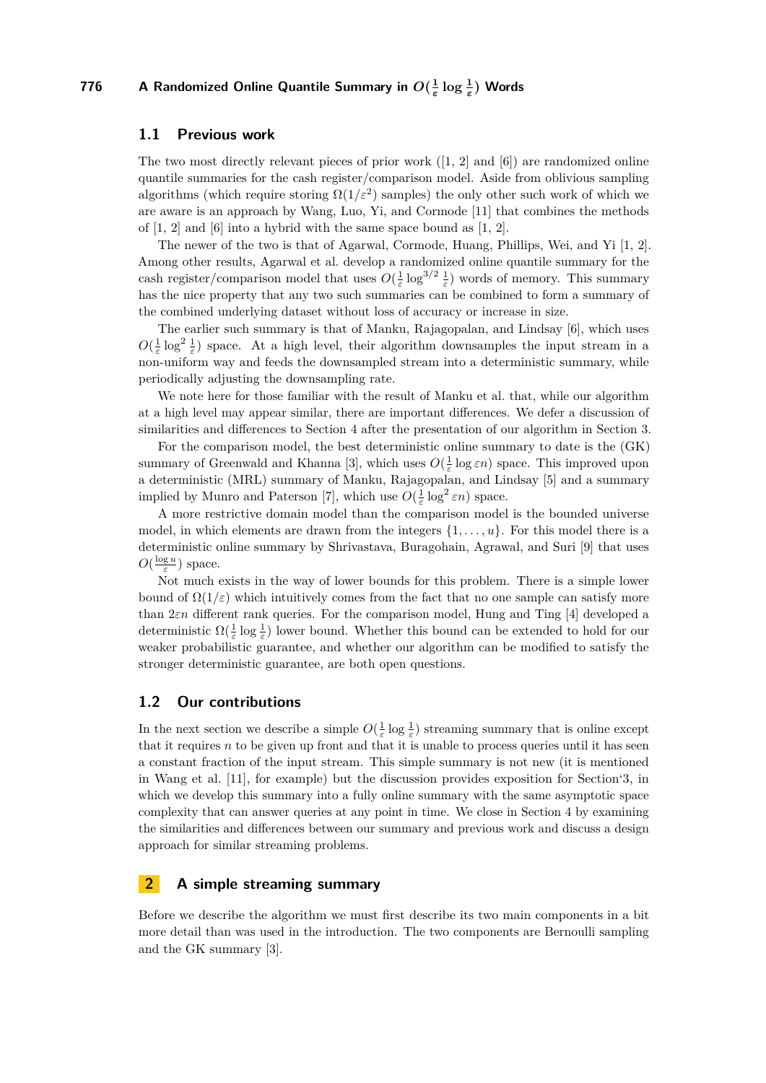### **1.1 Previous work**

The two most directly relevant pieces of prior work  $(1, 2]$  $(1, 2]$  and  $(6)$ ) are randomized online quantile summaries for the cash register/comparison model. Aside from oblivious sampling algorithms (which require storing  $\Omega(1/\varepsilon^2)$  samples) the only other such work of which we are aware is an approach by Wang, Luo, Yi, and Cormode [\[11\]](#page-10-5) that combines the methods of  $[1, 2]$  $[1, 2]$  and  $[6]$  into a hybrid with the same space bound as  $[1, 2]$ .

The newer of the two is that of Agarwal, Cormode, Huang, Phillips, Wei, and Yi [\[1,](#page-10-0) [2\]](#page-10-3). Among other results, Agarwal et al. develop a randomized online quantile summary for the cash register/comparison model that uses  $O(\frac{1}{\varepsilon} \log^{3/2} \frac{1}{\varepsilon})$  words of memory. This summary has the nice property that any two such summaries can be combined to form a summary of the combined underlying dataset without loss of accuracy or increase in size.

The earlier such summary is that of Manku, Rajagopalan, and Lindsay [\[6\]](#page-10-4), which uses  $O(\frac{1}{\varepsilon} \log^2 \frac{1}{\varepsilon})$  space. At a high level, their algorithm downsamples the input stream in a non-uniform way and feeds the downsampled stream into a deterministic summary, while periodically adjusting the downsampling rate.

We note here for those familiar with the result of Manku et al. that, while our algorithm at a high level may appear similar, there are important differences. We defer a discussion of similarities and differences to Section [4](#page-8-0) after the presentation of our algorithm in Section [3.](#page-4-0)

For the comparison model, the best deterministic online summary to date is the (GK) summary of Greenwald and Khanna [\[3\]](#page-10-6), which uses  $O(\frac{1}{\varepsilon} \log \varepsilon n)$  space. This improved upon a deterministic (MRL) summary of Manku, Rajagopalan, and Lindsay [\[5\]](#page-10-7) and a summary implied by Munro and Paterson [\[7\]](#page-10-8), which use  $O(\frac{1}{\varepsilon} \log^2 \varepsilon n)$  space.

A more restrictive domain model than the comparison model is the bounded universe model, in which elements are drawn from the integers {1*, . . . , u*}. For this model there is a deterministic online summary by Shrivastava, Buragohain, Agrawal, and Suri [\[9\]](#page-10-9) that uses  $O(\frac{\log u}{\varepsilon})$  space.

Not much exists in the way of lower bounds for this problem. There is a simple lower bound of  $\Omega(1/\varepsilon)$  which intuitively comes from the fact that no one sample can satisfy more than 2*εn* different rank queries. For the comparison model, Hung and Ting [\[4\]](#page-10-1) developed a deterministic  $\Omega(\frac{1}{\varepsilon} \log \frac{1}{\varepsilon})$  lower bound. Whether this bound can be extended to hold for our weaker probabilistic guarantee, and whether our algorithm can be modified to satisfy the stronger deterministic guarantee, are both open questions.

### **1.2 Our contributions**

In the next section we describe a simple  $O(\frac{1}{\varepsilon} \log \frac{1}{\varepsilon})$  streaming summary that is online except that it requires  $n$  to be given up front and that it is unable to process queries until it has seen a constant fraction of the input stream. This simple summary is not new (it is mentioned in Wang et al. [\[11\]](#page-10-5), for example) but the discussion provides exposition for Section['3,](#page-4-0) in which we develop this summary into a fully online summary with the same asymptotic space complexity that can answer queries at any point in time. We close in Section [4](#page-8-0) by examining the similarities and differences between our summary and previous work and discuss a design approach for similar streaming problems.

### **2 A simple streaming summary**

Before we describe the algorithm we must first describe its two main components in a bit more detail than was used in the introduction. The two components are Bernoulli sampling and the GK summary [\[3\]](#page-10-6).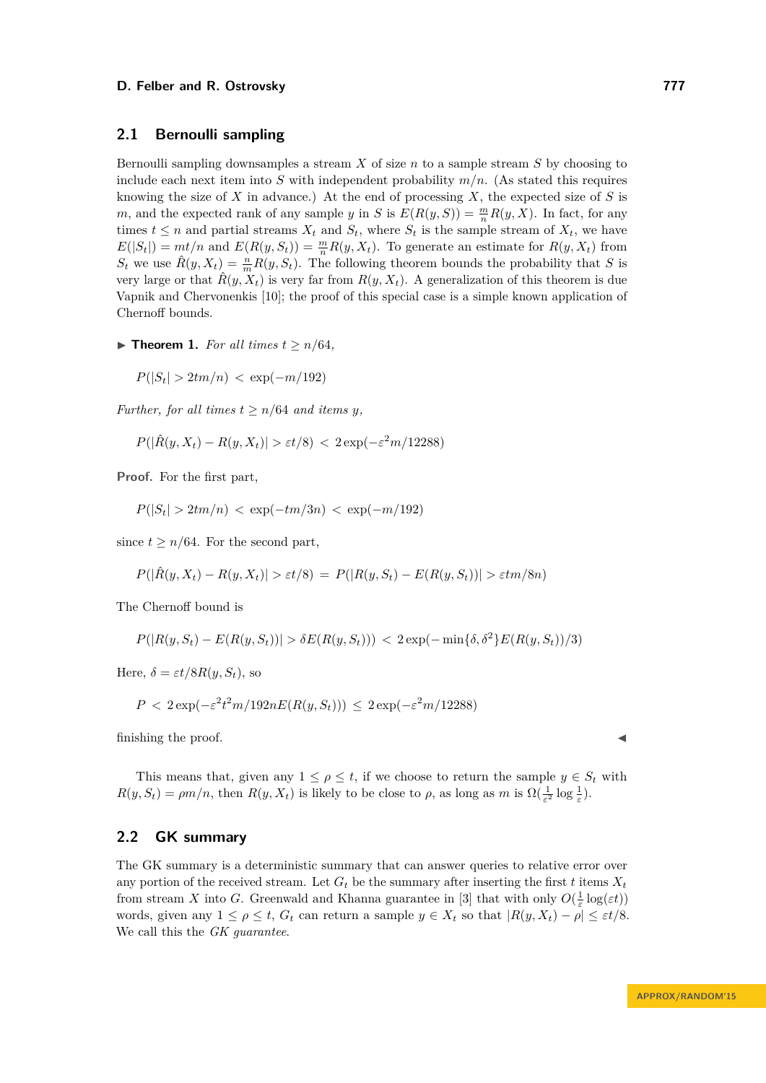## **2.1 Bernoulli sampling**

Bernoulli sampling downsamples a stream *X* of size *n* to a sample stream *S* by choosing to include each next item into *S* with independent probability  $m/n$ . (As stated this requires knowing the size of *X* in advance.) At the end of processing *X*, the expected size of *S* is *m*, and the expected rank of any sample *y* in *S* is  $E(R(y, S)) = \frac{m}{n}R(y, X)$ . In fact, for any times  $t \leq n$  and partial streams  $X_t$  and  $S_t$ , where  $S_t$  is the sample stream of  $X_t$ , we have  $E(|S_t|) = mt/n$  and  $E(R(y, S_t)) = \frac{m}{n}R(y, X_t)$ . To generate an estimate for  $R(y, X_t)$  from  $S_t$  we use  $\hat{R}(y, X_t) = \frac{n}{m} R(y, S_t)$ . The following theorem bounds the probability that *S* is very large or that  $\hat{R}(y, X_t)$  is very far from  $R(y, X_t)$ . A generalization of this theorem is due Vapnik and Chervonenkis [\[10\]](#page-10-10); the proof of this special case is a simple known application of Chernoff bounds.

<span id="page-2-0"></span>▶ **Theorem 1.** *For all times*  $t \ge n/64$ *,* 

$$
P(|S_t| > 2tm/n) < \exp(-m/192)
$$

*Further, for all times*  $t \geq n/64$  *and items y*,

 $P(|\hat{R}(y, X_t) - R(y, X_t)| > \varepsilon t/8) < 2 \exp(-\varepsilon^2 m/12288)$ 

**Proof.** For the first part,

 $P(|S_t| > 2tm/n) < \exp(-tm/3n) < \exp(-m/192)$ 

since  $t \geq n/64$ . For the second part,

$$
P(|\hat{R}(y, X_t) - R(y, X_t)| > \varepsilon t/8) = P(|R(y, S_t) - E(R(y, S_t))| > \varepsilon t m/8n)
$$

The Chernoff bound is

$$
P(|R(y, S_t) - E(R(y, S_t))| > \delta E(R(y, S_t))) < 2 \exp(-\min{\{\delta, \delta^2\}} E(R(y, S_t))/3)
$$

Here,  $\delta = \varepsilon t/8R(y, S_t)$ , so

$$
P < 2\exp(-\varepsilon^2 t^2 m/192nE(R(y, S_t))) \le 2\exp(-\varepsilon^2 m/12288)
$$

finishing the proof.

This means that, given any  $1 \leq \rho \leq t$ , if we choose to return the sample  $y \in S_t$  with  $R(y, S_t) = \rho m/n$ , then  $R(y, X_t)$  is likely to be close to  $\rho$ , as long as  $m$  is  $\Omega(\frac{1}{\varepsilon^2} \log \frac{1}{\varepsilon})$ .

## **2.2 GK summary**

The GK summary is a deterministic summary that can answer queries to relative error over any portion of the received stream. Let  $G_t$  be the summary after inserting the first *t* items  $X_t$ from stream *X* into *G*. Greenwald and Khanna guarantee in [\[3\]](#page-10-6) that with only  $O(\frac{1}{\varepsilon} \log(\varepsilon t))$ words, given any  $1 \leq \rho \leq t$ ,  $G_t$  can return a sample  $y \in X_t$  so that  $|R(y, X_t) - \rho| \leq \varepsilon t/8$ . We call this the *GK guarantee*.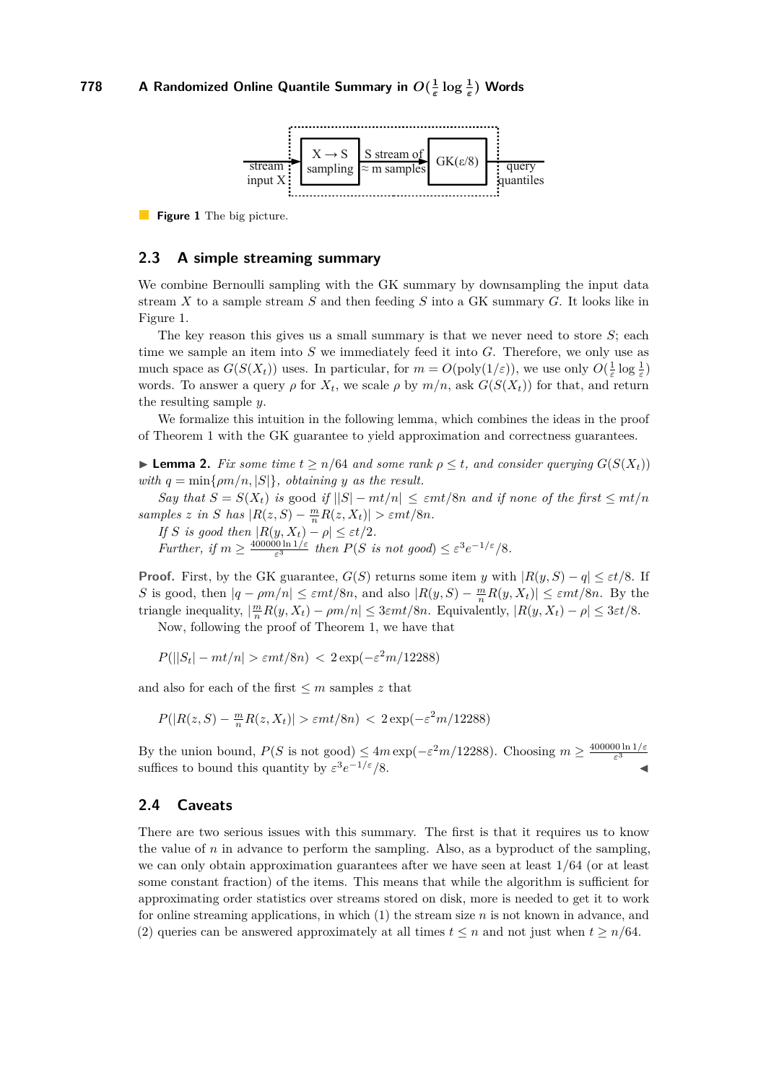<span id="page-3-0"></span>

**Figure 1** The big picture.

## **2.3 A simple streaming summary**

We combine Bernoulli sampling with the GK summary by downsampling the input data stream *X* to a sample stream *S* and then feeding *S* into a GK summary *G*. It looks like in Figure [1.](#page-3-0)

The key reason this gives us a small summary is that we never need to store *S*; each time we sample an item into *S* we immediately feed it into *G*. Therefore, we only use as much space as  $G(S(X_t))$  uses. In particular, for  $m = O(poly(1/\varepsilon))$ , we use only  $O(\frac{1}{\varepsilon} \log \frac{1}{\varepsilon})$ words. To answer a query  $\rho$  for  $X_t$ , we scale  $\rho$  by  $m/n$ , ask  $G(S(X_t))$  for that, and return the resulting sample *y*.

We formalize this intuition in the following lemma, which combines the ideas in the proof of Theorem [1](#page-2-0) with the GK guarantee to yield approximation and correctness guarantees.

<span id="page-3-1"></span>**► Lemma 2.** *Fix some time*  $t \ge n/64$  *and some rank*  $\rho \le t$ *, and consider querying*  $G(S(X_t))$ *with*  $q = \min\{ \rho m/n, |S| \}$ , obtaining *y* as the result.

*Say that*  $S = S(X_t)$  *is* good *if*  $||S| - mt/n| \le \varepsilon mt/8n$  *and if none of the first*  $\le mt/n$ *samples z in S has*  $|R(z, S) - \frac{m}{n}R(z, X_t)| > \varepsilon mt/8n$ .

*If S* is good then  $|R(y, X_t) - \rho| \le \varepsilon t/2$ .

*Further, if*  $m \geq \frac{400000 \ln 1/\varepsilon}{\varepsilon^3}$  $\frac{10 \ln 1/\varepsilon}{\varepsilon^3}$  *then*  $P(S \text{ is not good}) \leq \varepsilon^3 e^{-1/\varepsilon}/8$ *.* 

**Proof.** First, by the GK guarantee,  $G(S)$  returns some item *y* with  $|R(y, S) - q| \leq \varepsilon t/8$ . If *S* is good, then  $|q - \rho m/n| \le \varepsilon m t/8n$ , and also  $|R(y, S) - \frac{m}{n}R(y, X_t)| \le \varepsilon m t/8n$ . By the triangle inequality,  $\left|\frac{m}{n}R(y, X_t) - \rho m/n\right| \leq 3\varepsilon mt/8n$ . Equivalently,  $|R(y, X_t) - \rho| \leq 3\varepsilon t/8$ .

Now, following the proof of Theorem [1,](#page-2-0) we have that

 $P(||S_t| - mt/n| > \varepsilon mt/8n) < 2 \exp(-\varepsilon^2 m/12288)$ 

and also for each of the first  $\leq m$  samples z that

$$
P(|R(z, S) - \frac{m}{n}R(z, X_t)| > \varepsilon mt/8n) < 2\exp(-\varepsilon^2 m/12288)
$$

By the union bound,  $P(S \text{ is not good}) \leq 4m \exp(-\varepsilon^2 m/12288)$ . Choosing  $m \geq$ 400000 ln 1*/ε ε* 3 suffices to bound this quantity by  $\varepsilon^3 e^{-1/\varepsilon}/8$ .

### **2.4 Caveats**

There are two serious issues with this summary. The first is that it requires us to know the value of *n* in advance to perform the sampling. Also, as a byproduct of the sampling, we can only obtain approximation guarantees after we have seen at least 1*/*64 (or at least some constant fraction) of the items. This means that while the algorithm is sufficient for approximating order statistics over streams stored on disk, more is needed to get it to work for online streaming applications, in which (1) the stream size *n* is not known in advance, and (2) queries can be answered approximately at all times  $t \leq n$  and not just when  $t \geq n/64$ .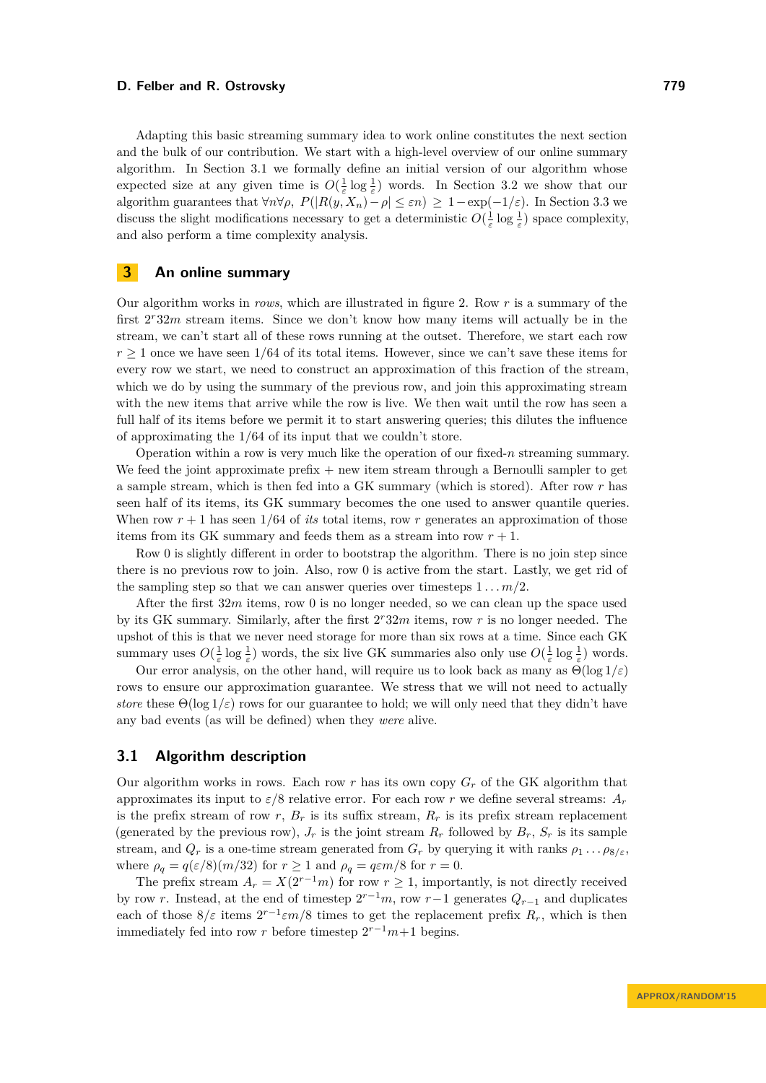Adapting this basic streaming summary idea to work online constitutes the next section and the bulk of our contribution. We start with a high-level overview of our online summary algorithm. In Section [3.1](#page-4-1) we formally define an initial version of our algorithm whose expected size at any given time is  $O(\frac{1}{\varepsilon} \log \frac{1}{\varepsilon})$  words. In Section [3.2](#page-6-0) we show that our algorithm guarantees that  $\forall n \forall \rho$ ,  $P(|R(y, X_n) - \rho| \leq \varepsilon n) \geq 1 - \exp(-1/\varepsilon)$ . In Section [3.3](#page-8-1) we discuss the slight modifications necessary to get a deterministic  $O(\frac{1}{\varepsilon} \log \frac{1}{\varepsilon})$  space complexity, and also perform a time complexity analysis.

### <span id="page-4-0"></span>**3 An online summary**

Our algorithm works in *rows*, which are illustrated in figure [2.](#page-5-0) Row *r* is a summary of the first  $2^r32m$  stream items. Since we don't know how many items will actually be in the stream, we can't start all of these rows running at the outset. Therefore, we start each row  $r \geq 1$  once we have seen  $1/64$  of its total items. However, since we can't save these items for every row we start, we need to construct an approximation of this fraction of the stream, which we do by using the summary of the previous row, and join this approximating stream with the new items that arrive while the row is live. We then wait until the row has seen a full half of its items before we permit it to start answering queries; this dilutes the influence of approximating the 1*/*64 of its input that we couldn't store.

Operation within a row is very much like the operation of our fixed- $n$  streaming summary. We feed the joint approximate prefix  $+$  new item stream through a Bernoulli sampler to get a sample stream, which is then fed into a GK summary (which is stored). After row *r* has seen half of its items, its GK summary becomes the one used to answer quantile queries. When row  $r + 1$  has seen  $1/64$  of *its* total items, row r generates an approximation of those items from its GK summary and feeds them as a stream into row  $r + 1$ .

Row 0 is slightly different in order to bootstrap the algorithm. There is no join step since there is no previous row to join. Also, row 0 is active from the start. Lastly, we get rid of the sampling step so that we can answer queries over timesteps  $1 \dots m/2$ .

After the first 32*m* items, row 0 is no longer needed, so we can clean up the space used by its GK summary. Similarly, after the first 2 *<sup>r</sup>*32*m* items, row *r* is no longer needed. The upshot of this is that we never need storage for more than six rows at a time. Since each GK summary uses  $O(\frac{1}{\varepsilon} \log \frac{1}{\varepsilon})$  words, the six live GK summaries also only use  $O(\frac{1}{\varepsilon} \log \frac{1}{\varepsilon})$  words.

Our error analysis, on the other hand, will require us to look back as many as  $\Theta(\log 1/\varepsilon)$ rows to ensure our approximation guarantee. We stress that we will not need to actually *store* these  $\Theta(\log 1/\varepsilon)$  rows for our guarantee to hold; we will only need that they didn't have any bad events (as will be defined) when they *were* alive.

## <span id="page-4-1"></span>**3.1 Algorithm description**

Our algorithm works in rows. Each row  $r$  has its own copy  $G_r$  of the GK algorithm that approximates its input to *ε/*8 relative error. For each row *r* we define several streams: *A<sup>r</sup>* is the prefix stream of row  $r$ ,  $B_r$  is its suffix stream,  $R_r$  is its prefix stream replacement (generated by the previous row),  $J_r$  is the joint stream  $R_r$  followed by  $B_r$ ,  $S_r$  is its sample stream, and  $Q_r$  is a one-time stream generated from  $G_r$  by querying it with ranks  $\rho_1 \dots \rho_{8/\varepsilon}$ , where  $\rho_q = q(\varepsilon/8)(m/32)$  for  $r \ge 1$  and  $\rho_q = q\varepsilon m/8$  for  $r = 0$ .

The prefix stream  $A_r = X(2^{r-1}m)$  for row  $r \ge 1$ , importantly, is not directly received by row *r*. Instead, at the end of timestep  $2^{r-1}m$ , row  $r-1$  generates  $Q_{r-1}$  and duplicates each of those  $8/\varepsilon$  items  $2^{r-1}\varepsilon m/8$  times to get the replacement prefix  $R_r$ , which is then immediately fed into row *r* before timestep  $2^{r-1}m+1$  begins.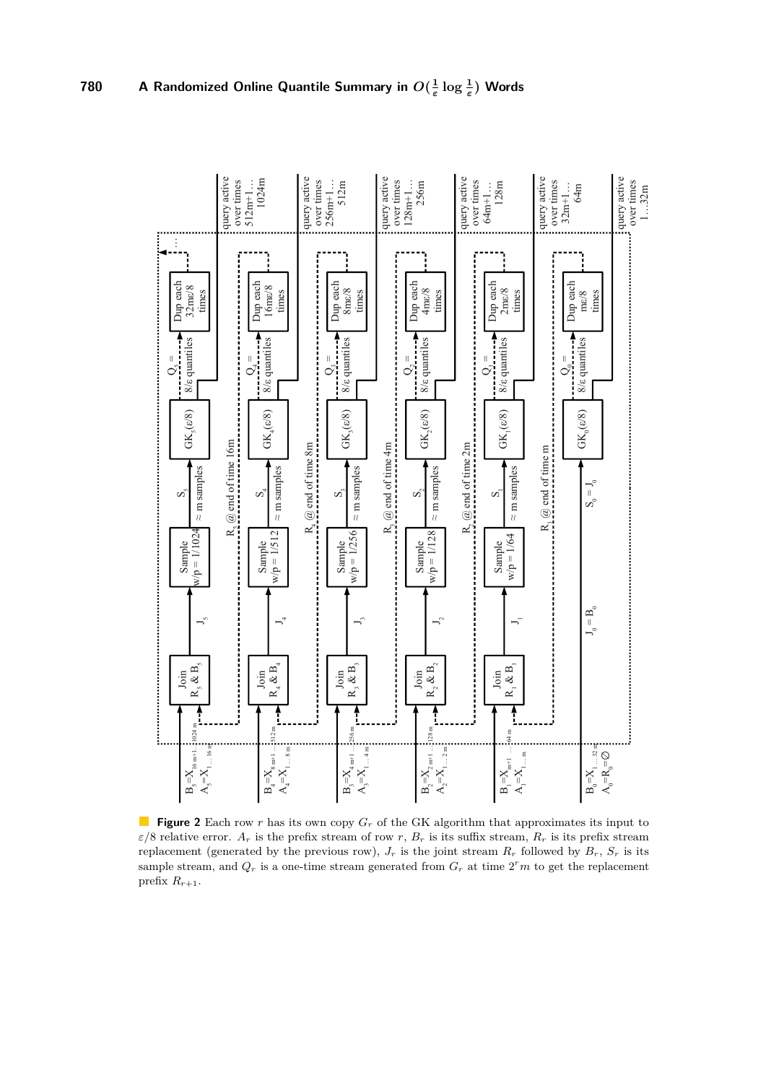<span id="page-5-0"></span>

**Figure 2** Each row *r* has its own copy  $G_r$  of the GK algorithm that approximates its input to  $\varepsilon/8$  relative error.  $A_r$  is the prefix stream of row *r*,  $B_r$  is its suffix stream,  $R_r$  is its prefix stream replacement (generated by the previous row),  $J_r$  is the joint stream  $R_r$  followed by  $B_r$ ,  $S_r$  is its sample stream, and  $Q_r$  is a one-time stream generated from  $G_r$  at time  $2^r m$  to get the replacement prefix  $R_{r+1}$ .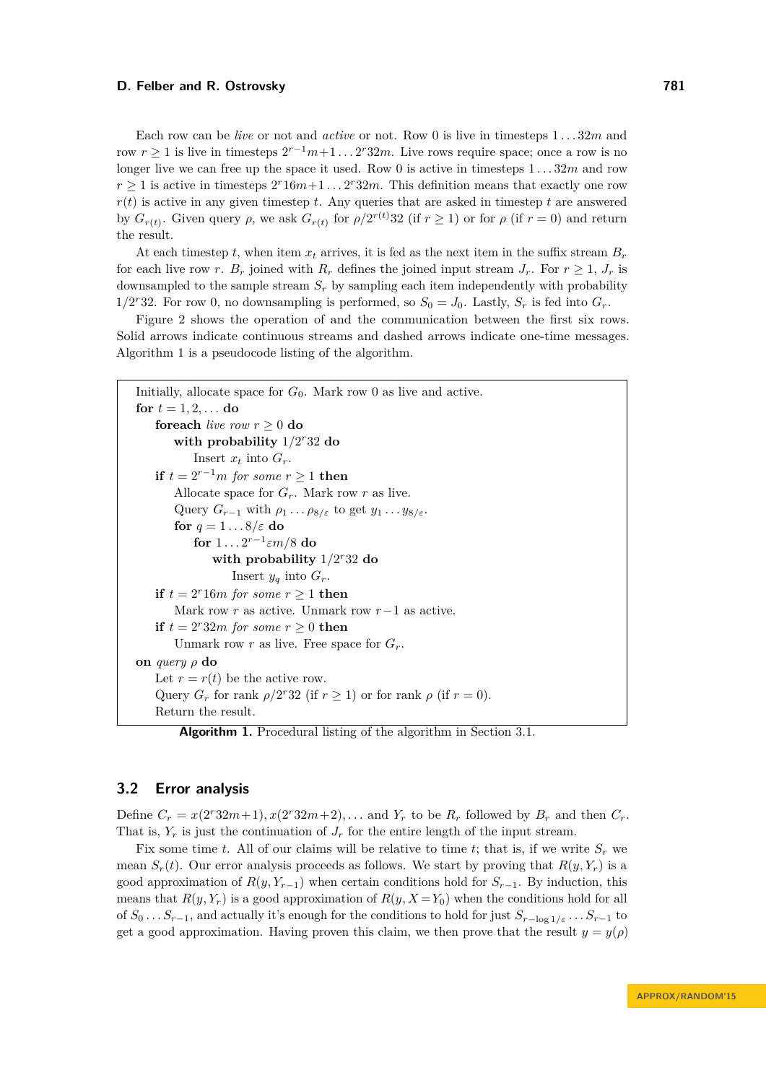Each row can be *live* or not and *active* or not. Row 0 is live in timesteps 1 *. . .* 32*m* and row  $r \geq 1$  is live in timesteps  $2^{r-1}m+1 \ldots 2^r32m$ . Live rows require space; once a row is no longer live we can free up the space it used. Row 0 is active in timesteps 1 *. . .* 32*m* and row  $r \geq 1$  is active in timesteps  $2^r 16m+1 \ldots 2^r 32m$ . This definition means that exactly one row  $r(t)$  is active in any given timestep *t*. Any queries that are asked in timestep *t* are answered by  $G_{r(t)}$ . Given query  $\rho$ , we ask  $G_{r(t)}$  for  $\rho/2^{r(t)}32$  (if  $r \ge 1$ ) or for  $\rho$  (if  $r = 0$ ) and return the result.

At each timestep *t*, when item  $x_t$  arrives, it is fed as the next item in the suffix stream  $B_r$ for each live row *r*. *B<sub>r</sub>* joined with  $R_r$  defines the joined input stream  $J_r$ . For  $r \geq 1$ ,  $J_r$  is downsampled to the sample stream *S<sup>r</sup>* by sampling each item independently with probability 1/2<sup>*r*</sup>32. For row 0, no downsampling is performed, so  $S_0 = J_0$ . Lastly,  $S_r$  is fed into  $G_r$ .

Figure [2](#page-5-0) shows the operation of and the communication between the first six rows. Solid arrows indicate continuous streams and dashed arrows indicate one-time messages. Algorithm [1](#page-6-1) is a pseudocode listing of the algorithm.

```
Initially, allocate space for G_0. Mark row 0 as live and active.
for t = 1, 2, \ldots do
    foreach live row r \geq 0 do
        with probability 1/2
r32 do
           Insert x_t into G_r.
   if t = 2^{r-1}m for some r > 1 then
       Allocate space for G_r. Mark row r as live.
       Query G_{r-1} with \rho_1 \ldots \rho_{8/\varepsilon} to get y_1 \ldots y_{8/\varepsilon}.
       for q = 1 . . . 8/ε do
            for 1 \ldots 2^{r-1} \varepsilon m/8 do
               with probability 1/2
r32 do
                   Insert y_q into G_r.
   if t = 2^r 16m for some r \ge 1 then
       Mark row r as active. Unmark row r−1 as active.
   if t = 2^r 32m for some r > 0 then
       Unmark row r as live. Free space for G_r.
on query ρ do
   Let r = r(t) be the active row.
    Query G_r for rank \rho/2^r32 (if r \ge 1) or for rank \rho (if r = 0).
   Return the result.
```
<span id="page-6-1"></span>**Algorithm 1.** Procedural listing of the algorithm in Section [3.1.](#page-4-1)

## <span id="page-6-0"></span>**3.2 Error analysis**

Define  $C_r = x(2^r32m+1), x(2^r32m+2), \ldots$  and  $Y_r$  to be  $R_r$  followed by  $B_r$  and then  $C_r$ . That is,  $Y_r$  is just the continuation of  $J_r$  for the entire length of the input stream.

Fix some time *t*. All of our claims will be relative to time *t*; that is, if we write  $S_r$  we mean  $S_r(t)$ . Our error analysis proceeds as follows. We start by proving that  $R(y, Y_r)$  is a good approximation of  $R(y, Y_{r-1})$  when certain conditions hold for  $S_{r-1}$ . By induction, this means that  $R(y, Y_r)$  is a good approximation of  $R(y, X = Y_0)$  when the conditions hold for all of  $S_0$  *...*  $S_{r-1}$ , and actually it's enough for the conditions to hold for just  $S_{r-\log 1/\varepsilon}$  *...*  $S_{r-1}$  to get a good approximation. Having proven this claim, we then prove that the result  $y = y(\rho)$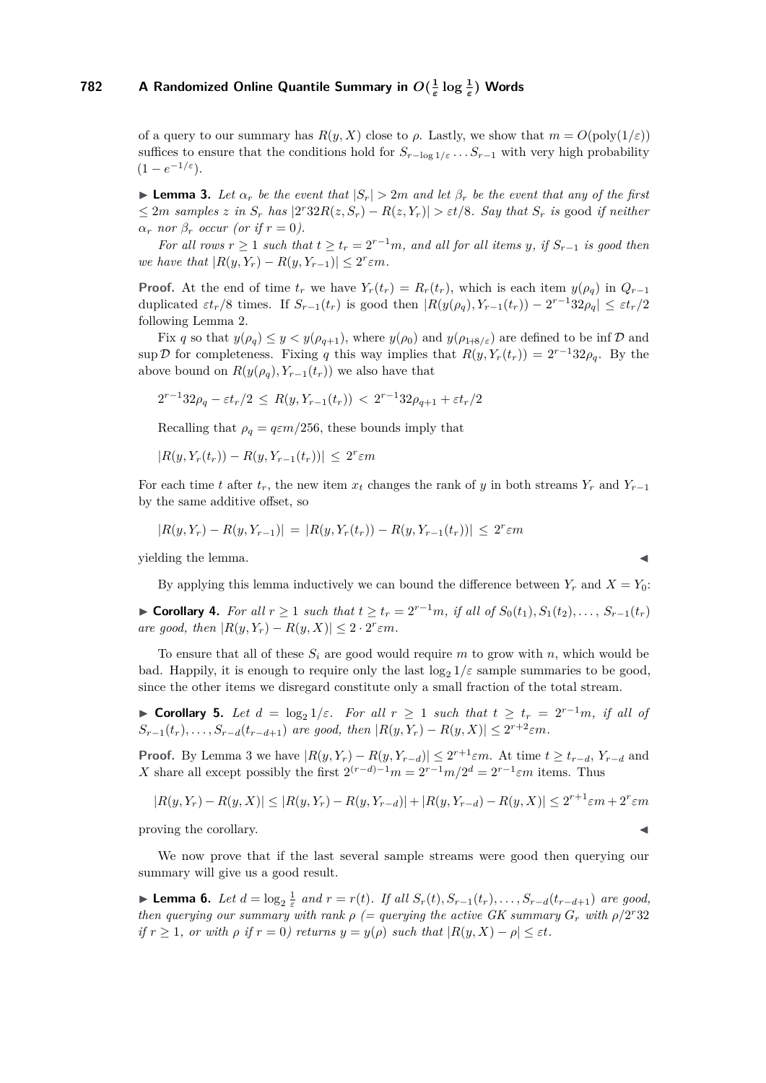of a query to our summary has  $R(y, X)$  close to  $\rho$ . Lastly, we show that  $m = O(\text{poly}(1/\varepsilon))$ suffices to ensure that the conditions hold for  $S_{r-\log 1/\varepsilon}$  *...*  $S_{r-1}$  with very high probability  $(1 - e^{-1/\varepsilon}).$ 

<span id="page-7-0"></span>**Lemma 3.** Let  $\alpha_r$  be the event that  $|S_r| > 2m$  and let  $\beta_r$  be the event that any of the first  $\leq 2m$  samples z in  $S_r$  has  $|2^r32R(z, S_r) - R(z, Y_r)| > \varepsilon t/8$ . Say that  $S_r$  is good if neither  $\alpha_r$  *nor*  $\beta_r$  *occur (or if*  $r = 0$ ).

*For all rows*  $r \geq 1$  *such that*  $t \geq t_r = 2^{r-1}m$ *, and all for all items y, if*  $S_{r-1}$  *is good then we have that*  $|R(y, Y_r) - R(y, Y_{r-1})| \leq 2^r \varepsilon m$ *.* 

**Proof.** At the end of time  $t_r$  we have  $Y_r(t_r) = R_r(t_r)$ , which is each item  $y(\rho_q)$  in  $Q_{r-1}$ duplicated  $\epsilon t_r/8$  times. If  $S_{r-1}(t_r)$  is good then  $|R(y(\rho_q), Y_{r-1}(t_r)) - 2^{r-1}32\rho_q| \leq \epsilon t_r/2$ following Lemma [2.](#page-3-1)

Fix *q* so that  $y(\rho_q) \leq y \leq y(\rho_{q+1})$ , where  $y(\rho_0)$  and  $y(\rho_{1+8/5})$  are defined to be inf D and sup D for completeness. Fixing *q* this way implies that  $R(y, Y_r(t_r)) = 2^{r-1}32\rho_q$ . By the above bound on  $R(y(\rho_q), Y_{r-1}(t_r))$  we also have that

$$
2^{r-1}32\rho_q - \varepsilon t_r/2 \le R(y, Y_{r-1}(t_r)) < 2^{r-1}32\rho_{q+1} + \varepsilon t_r/2
$$

Recalling that  $\rho_q = q \varepsilon m/256$ , these bounds imply that

$$
|R(y, Y_r(t_r)) - R(y, Y_{r-1}(t_r))| \le 2^r \varepsilon m
$$

For each time *t* after  $t_r$ , the new item  $x_t$  changes the rank of *y* in both streams  $Y_r$  and  $Y_{r-1}$ by the same additive offset, so

$$
|R(y,Y_r) - R(y,Y_{r-1})| = |R(y,Y_r(t_r)) - R(y,Y_{r-1}(t_r))| \le 2^r \varepsilon m
$$

yielding the lemma.

By applying this lemma inductively we can bound the difference between  $Y_r$  and  $X = Y_0$ :

▶ **Corollary 4.** For all  $r \ge 1$  such that  $t \ge t_r = 2^{r-1}m$ , if all of  $S_0(t_1), S_1(t_2), \ldots, S_{r-1}(t_r)$ *are good, then*  $|R(y, Y_r) - R(y, X)| \leq 2 \cdot 2^r \varepsilon m$ *.* 

To ensure that all of these *S<sup>i</sup>* are good would require *m* to grow with *n*, which would be bad. Happily, it is enough to require only the last  $\log_2 1/\varepsilon$  sample summaries to be good, since the other items we disregard constitute only a small fraction of the total stream.

<span id="page-7-1"></span> $\triangleright$  **Corollary 5.** *Let d* = log<sub>2</sub> 1/*ε. For all*  $r ≥ 1$  *such that*  $t ≥ t_r = 2^{r-1}m$ *, if all of*  $S_{r-1}(t_r), \ldots, S_{r-d}(t_{r-d+1})$  *are good, then*  $|R(y, Y_r) - R(y, X)| \leq 2^{r+2} \varepsilon m$ .

**Proof.** By Lemma [3](#page-7-0) we have  $|R(y, Y_r) - R(y, Y_{r-d})| \leq 2^{r+1}\varepsilon m$ . At time  $t \geq t_{r-d}$ ,  $Y_{r-d}$  and *X* share all except possibly the first  $2^{(r-d)-1}m = 2^{r-1}m/2^d = 2^{r-1}\epsilon m$  items. Thus

$$
|R(y, Y_r) - R(y, X)| \le |R(y, Y_r) - R(y, Y_{r-d})| + |R(y, Y_{r-d}) - R(y, X)| \le 2^{r+1}\varepsilon m + 2^r \varepsilon m
$$

proving the corollary. J

We now prove that if the last several sample streams were good then querying our summary will give us a good result.

<span id="page-7-2"></span>**Lemma 6.** Let  $d = \log_2 \frac{1}{\varepsilon}$  and  $r = r(t)$ . If all  $S_r(t), S_{r-1}(t_r), \ldots, S_{r-d}(t_{r-d+1})$  are good, *then querying our summary with rank*  $\rho$  (= querying the active GK summary  $G_r$  with  $\rho/2^r32$ *if*  $r \geq 1$ , or with  $\rho$  *if*  $r = 0$ *) returns*  $y = y(\rho)$  *such that*  $|R(y, X) - \rho| \leq \varepsilon t$ *.*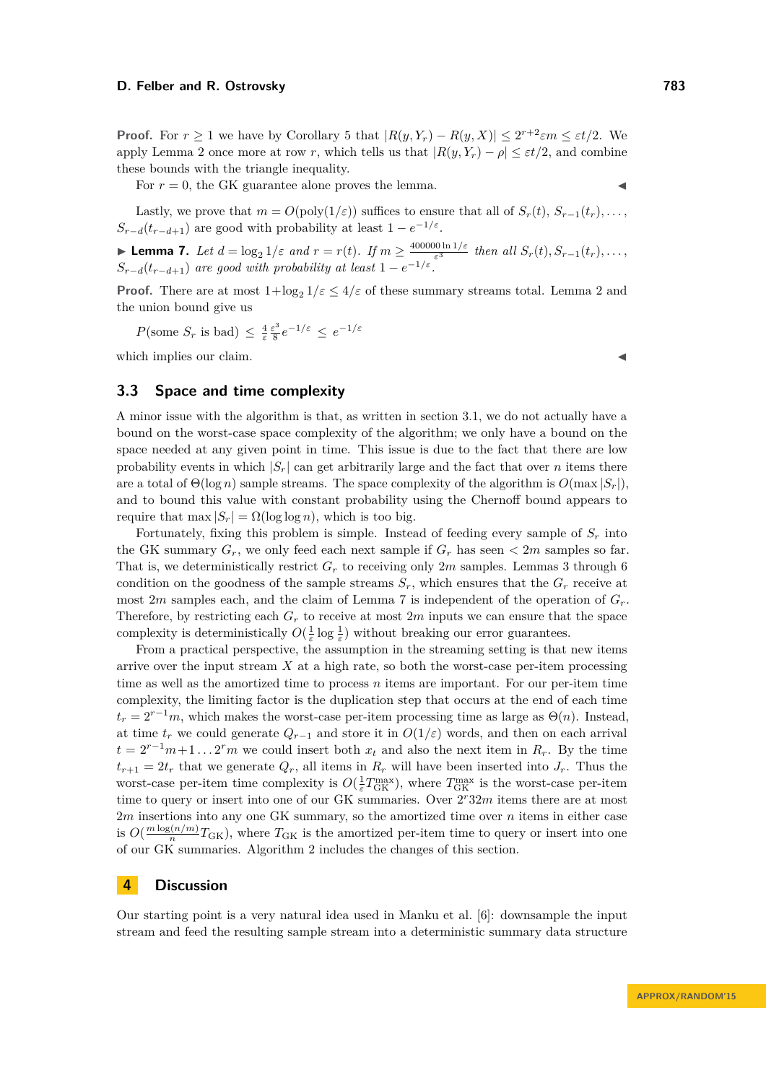**Proof.** For  $r \ge 1$  we have by Corollary [5](#page-7-1) that  $|R(y, Y_r) - R(y, X)| \le 2^{r+2}\varepsilon m \le \varepsilon t/2$ . We apply Lemma [2](#page-3-1) once more at row *r*, which tells us that  $|R(y, Y_r) - \rho| \leq \varepsilon t/2$ , and combine these bounds with the triangle inequality.

For  $r = 0$ , the GK guarantee alone proves the lemma.

Lastly, we prove that  $m = O(\text{poly}(1/\varepsilon))$  suffices to ensure that all of  $S_r(t), S_{r-1}(t_r), \ldots$  $S_{r-d}(t_{r-d+1})$  are good with probability at least  $1 - e^{-1/\varepsilon}$ .

<span id="page-8-2"></span>**Lemma 7.** *Let*  $d = \log_2 1/\varepsilon$  *and*  $r = r(t)$ *. If*  $m \ge \frac{400000 \ln 1/\varepsilon}{\varepsilon^3}$  $\frac{\partial 0 \ln 1}{\varepsilon^3}$  *then all*  $S_r(t)$ ,  $S_{r-1}(t_r)$ , ...,  $S_{r-d}(t_{r-d+1})$  *are good with probability at least*  $1 - e^{-1/\varepsilon}$ .

**Proof.** There are at most  $1 + \log_2 1/\varepsilon \le 4/\varepsilon$  of these summary streams total. Lemma [2](#page-3-1) and the union bound give us

*P*(some  $S_r$  is bad)  $\leq \frac{4}{\varepsilon} \frac{\varepsilon^3}{8}$  $\frac{\varepsilon^3}{8}e^{-1/\varepsilon} \leq e^{-1/\varepsilon}$ 

which implies our claim.

## <span id="page-8-1"></span>**3.3 Space and time complexity**

A minor issue with the algorithm is that, as written in section [3.1,](#page-4-1) we do not actually have a bound on the worst-case space complexity of the algorithm; we only have a bound on the space needed at any given point in time. This issue is due to the fact that there are low probability events in which  $|S_r|$  can get arbitrarily large and the fact that over *n* items there are a total of  $\Theta(\log n)$  sample streams. The space complexity of the algorithm is  $O(\max |S_r|)$ . and to bound this value with constant probability using the Chernoff bound appears to require that  $\max |S_r| = \Omega(\log \log n)$ , which is too big.

Fortunately, fixing this problem is simple. Instead of feeding every sample of  $S_r$  into the GK summary  $G_r$ , we only feed each next sample if  $G_r$  has seen  $\lt 2m$  samples so far. That is, we deterministically restrict  $G_r$  to receiving only  $2m$  samples. Lemmas [3](#page-7-0) through [6](#page-7-2) condition on the goodness of the sample streams  $S_r$ , which ensures that the  $G_r$  receive at most 2*m* samples each, and the claim of Lemma [7](#page-8-2) is independent of the operation of  $G_r$ . Therefore, by restricting each  $G_r$  to receive at most  $2m$  inputs we can ensure that the space complexity is deterministically  $O(\frac{1}{\varepsilon} \log \frac{1}{\varepsilon})$  without breaking our error guarantees.

From a practical perspective, the assumption in the streaming setting is that new items arrive over the input stream *X* at a high rate, so both the worst-case per-item processing time as well as the amortized time to process *n* items are important. For our per-item time complexity, the limiting factor is the duplication step that occurs at the end of each time  $t_r = 2^{r-1}m$ , which makes the worst-case per-item processing time as large as  $\Theta(n)$ . Instead, at time  $t_r$  we could generate  $Q_{r-1}$  and store it in  $O(1/\varepsilon)$  words, and then on each arrival  $t = 2^{r-1}m + 1 \ldots 2^r m$  we could insert both  $x_t$  and also the next item in  $R_r$ . By the time  $t_{r+1} = 2t_r$  that we generate  $Q_r$ , all items in  $R_r$  will have been inserted into  $J_r$ . Thus the worst-case per-item time complexity is  $O(\frac{1}{\varepsilon}T_{\text{GK}}^{\text{max}})$ , where  $T_{\text{GK}}^{\text{max}}$  is the worst-case per-item time to query or insert into one of our GK summaries. Over  $2^r32m$  items there are at most 2*m* insertions into any one GK summary, so the amortized time over *n* items in either case is  $O(\frac{m \log(n/m)}{n})$  $T_{\text{GK}}$ ), where  $T_{\text{GK}}$  is the amortized per-item time to query or insert into one of our GK summaries. Algorithm [2](#page-9-0) includes the changes of this section.

### <span id="page-8-0"></span>**4 Discussion**

Our starting point is a very natural idea used in Manku et al. [\[6\]](#page-10-4): downsample the input stream and feed the resulting sample stream into a deterministic summary data structure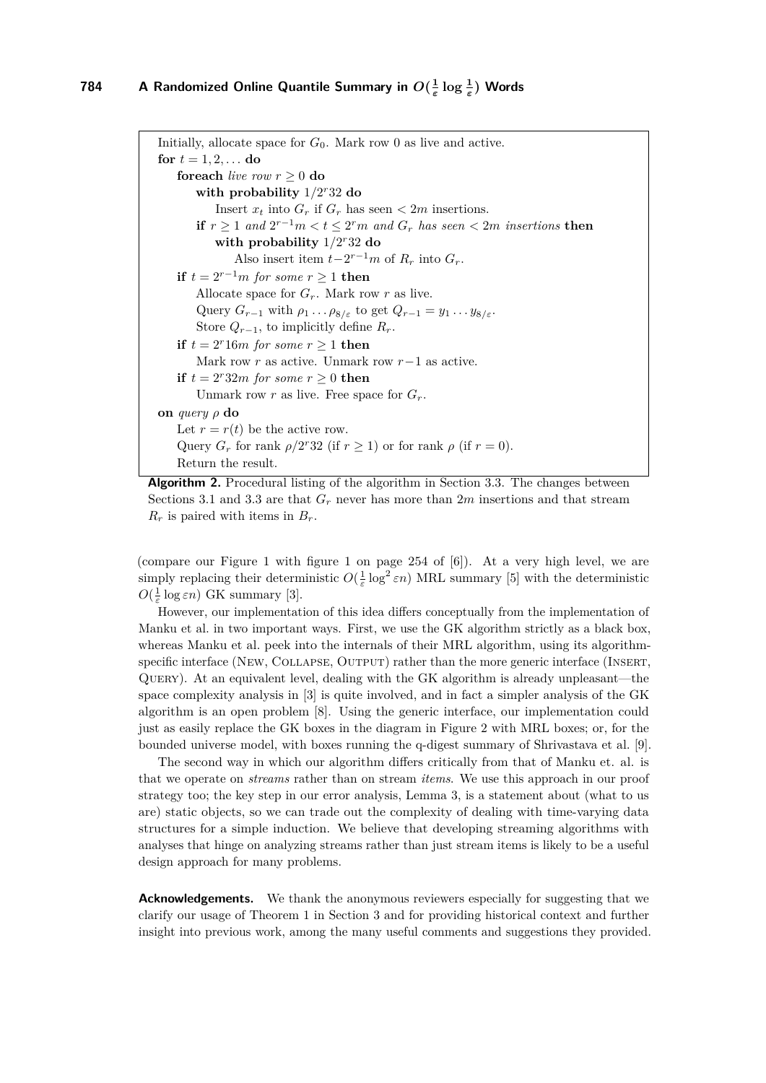```
Initially, allocate space for G_0. Mark row 0 as live and active.
for t = 1, 2, \ldots do
   foreach live row r \geq 0 do
        with probability 1/2
r32 do
           Insert x_t into G_r if G_r has seen \lt 2m insertions.
        if r \ge 1 and 2^{r-1}m < t \le 2^r m and G_r has seen \lt 2m insertions then
           with probability 1/2
r32 do
               Also insert item t-2^{r-1}m of R_r into G_r.
   if t = 2^{r-1}m for some r ≥ 1 then
       Allocate space for G_r. Mark row r as live.
       Query G_{r-1} with \rho_1 \ldots \rho_{8/\varepsilon} to get Q_{r-1} = y_1 \ldots y_{8/\varepsilon}.
        Store Q_{r-1}, to implicitly define R_r.
   if t = 2^r 16m for some r \ge 1 then
       Mark row r as active. Unmark row r−1 as active.
   if t = 2^r 32m for some r > 0 then
        Unmark row r as live. Free space for G_r.
on query ρ do
   Let r = r(t) be the active row.
    Query G_r for rank \rho/2^r32 (if r \ge 1) or for rank \rho (if r = 0).
   Return the result.
```
<span id="page-9-0"></span>

(compare our Figure [1](#page-3-0) with figure 1 on page 254 of [\[6\]](#page-10-4)). At a very high level, we are simply replacing their deterministic  $O(\frac{1}{\varepsilon} \log^2 \varepsilon n)$  MRL summary [\[5\]](#page-10-7) with the deterministic  $O(\frac{1}{\varepsilon} \log \varepsilon n)$  GK summary [\[3\]](#page-10-6).

However, our implementation of this idea differs conceptually from the implementation of Manku et al. in two important ways. First, we use the GK algorithm strictly as a black box, whereas Manku et al. peek into the internals of their MRL algorithm, using its algorithmspecific interface (NEW, COLLAPSE, OUTPUT) rather than the more generic interface (INSERT, Query). At an equivalent level, dealing with the GK algorithm is already unpleasant—the space complexity analysis in [\[3\]](#page-10-6) is quite involved, and in fact a simpler analysis of the GK algorithm is an open problem [\[8\]](#page-10-11). Using the generic interface, our implementation could just as easily replace the GK boxes in the diagram in Figure [2](#page-5-0) with MRL boxes; or, for the bounded universe model, with boxes running the q-digest summary of Shrivastava et al. [\[9\]](#page-10-9).

The second way in which our algorithm differs critically from that of Manku et. al. is that we operate on *streams* rather than on stream *items*. We use this approach in our proof strategy too; the key step in our error analysis, Lemma [3,](#page-7-0) is a statement about (what to us are) static objects, so we can trade out the complexity of dealing with time-varying data structures for a simple induction. We believe that developing streaming algorithms with analyses that hinge on analyzing streams rather than just stream items is likely to be a useful design approach for many problems.

**Acknowledgements.** We thank the anonymous reviewers especially for suggesting that we clarify our usage of Theorem [1](#page-2-0) in Section [3](#page-4-0) and for providing historical context and further insight into previous work, among the many useful comments and suggestions they provided.